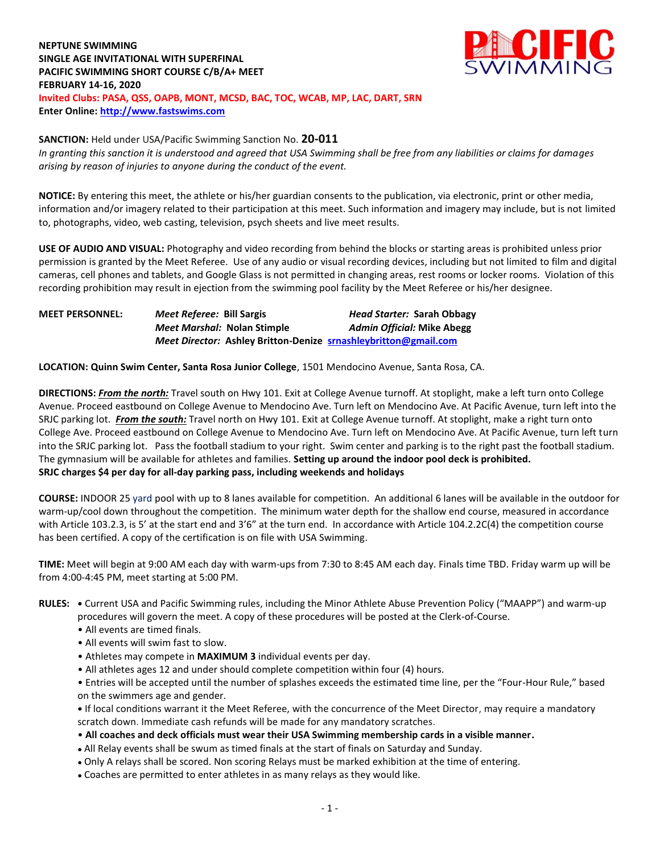## **NEPTUNE SWIMMING SINGLE AGE INVITATIONAL WITH SUPERFINAL PACIFIC SWIMMING SHORT COURSE C/B/A+ MEET FEBRUARY 14-16, 2020 Invited Clubs: PASA, QSS, OAPB, MONT, MCSD, BAC, TOC, WCAB, MP, LAC, DART, SRN Enter Online: [http://www.fastswims.com](http://www.fastswims.com/)**



## **SANCTION:** Held under USA/Pacific Swimming Sanction No. **20-011**

*In granting this sanction it is understood and agreed that USA Swimming shall be free from any liabilities or claims for damages arising by reason of injuries to anyone during the conduct of the event.* 

**NOTICE:** By entering this meet, the athlete or his/her guardian consents to the publication, via electronic, print or other media, information and/or imagery related to their participation at this meet. Such information and imagery may include, but is not limited to, photographs, video, web casting, television, psych sheets and live meet results.

**USE OF AUDIO AND VISUAL:** Photography and video recording from behind the blocks or starting areas is prohibited unless prior permission is granted by the Meet Referee. Use of any audio or visual recording devices, including but not limited to film and digital cameras, cell phones and tablets, and Google Glass is not permitted in changing areas, rest rooms or locker rooms. Violation of this recording prohibition may result in ejection from the swimming pool facility by the Meet Referee or his/her designee.

| <b>MEET PERSONNEL:</b> | <i>Meet Referee: Bill Sargis</i>                                       | Head Starter: Sarah Obbagy        |
|------------------------|------------------------------------------------------------------------|-----------------------------------|
|                        | <i>Meet Marshal:</i> Nolan Stimple                                     | <b>Admin Official: Mike Abegg</b> |
|                        | <i>Meet Director:</i> Ashley Britton-Denize srnashleybritton@gmail.com |                                   |

**LOCATION: Quinn Swim Center, Santa Rosa Junior College**, 1501 Mendocino Avenue, Santa Rosa, CA.

**DIRECTIONS:** *From the north:* Travel south on Hwy 101. Exit at College Avenue turnoff. At stoplight, make a left turn onto College Avenue. Proceed eastbound on College Avenue to Mendocino Ave. Turn left on Mendocino Ave. At Pacific Avenue, turn left into the SRJC parking lot. *From the south:* Travel north on Hwy 101. Exit at College Avenue turnoff. At stoplight, make a right turn onto College Ave. Proceed eastbound on College Avenue to Mendocino Ave. Turn left on Mendocino Ave. At Pacific Avenue, turn left turn into the SRJC parking lot. Pass the football stadium to your right. Swim center and parking is to the right past the football stadium. The gymnasium will be available for athletes and families. **Setting up around the indoor pool deck is prohibited. SRJC charges \$4 per day for all-day parking pass, including weekends and holidays**

**COURSE:** INDOOR 25 yard pool with up to 8 lanes available for competition. An additional 6 lanes will be available in the outdoor for warm-up/cool down throughout the competition. The minimum water depth for the shallow end course, measured in accordance with Article 103.2.3, is 5' at the start end and 3'6" at the turn end. In accordance with Article 104.2.2C(4) the competition course has been certified. A copy of the certification is on file with USA Swimming.

**TIME:** Meet will begin at 9:00 AM each day with warm-ups from 7:30 to 8:45 AM each day. Finals time TBD. Friday warm up will be from 4:00-4:45 PM, meet starting at 5:00 PM.

- **RULES: •** Current USA and Pacific Swimming rules, including the Minor Athlete Abuse Prevention Policy ("MAAPP") and warm-up procedures will govern the meet. A copy of these procedures will be posted at the Clerk-of-Course.
	- All events are timed finals.
	- All events will swim fast to slow.
	- Athletes may compete in **MAXIMUM 3** individual events per day.
	- All athletes ages 12 and under should complete competition within four (4) hours.
	- Entries will be accepted until the number of splashes exceeds the estimated time line, per the "Four-Hour Rule," based on the swimmers age and gender.

**•** If local conditions warrant it the Meet Referee, with the concurrence of the Meet Director, may require a mandatory scratch down. Immediate cash refunds will be made for any mandatory scratches.

- **All coaches and deck officials must wear their USA Swimming membership cards in a visible manner.**
- All Relay events shall be swum as timed finals at the start of finals on Saturday and Sunday.
- Only A relays shall be scored. Non scoring Relays must be marked exhibition at the time of entering.
- Coaches are permitted to enter athletes in as many relays as they would like.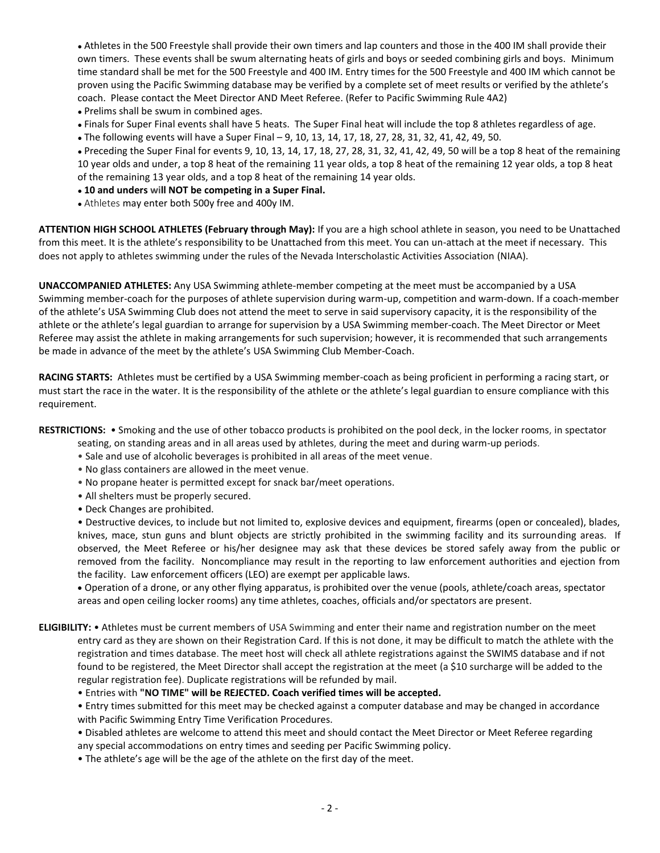• Athletes in the 500 Freestyle shall provide their own timers and lap counters and those in the 400 IM shall provide their own timers. These events shall be swum alternating heats of girls and boys or seeded combining girls and boys. Minimum time standard shall be met for the 500 Freestyle and 400 IM. Entry times for the 500 Freestyle and 400 IM which cannot be proven using the Pacific Swimming database may be verified by a complete set of meet results or verified by the athlete's coach. Please contact the Meet Director AND Meet Referee. (Refer to Pacific Swimming Rule 4A2)

- Prelims shall be swum in combined ages.
- Finals for Super Final events shall have 5 heats. The Super Final heat will include the top 8 athletes regardless of age.
- The following events will have a Super Final 9, 10, 13, 14, 17, 18, 27, 28, 31, 32, 41, 42, 49, 50.

• Preceding the Super Final for events 9, 10, 13, 14, 17, 18, 27, 28, 31, 32, 41, 42, 49, 50 will be a top 8 heat of the remaining 10 year olds and under, a top 8 heat of the remaining 11 year olds, a top 8 heat of the remaining 12 year olds, a top 8 heat of the remaining 13 year olds, and a top 8 heat of the remaining 14 year olds.

## ● **10 and unders will NOT be competing in a Super Final.**

• Athletes may enter both 500y free and 400y IM.

**ATTENTION HIGH SCHOOL ATHLETES (February through May):** If you are a high school athlete in season, you need to be Unattached from this meet. It is the athlete's responsibility to be Unattached from this meet. You can un-attach at the meet if necessary. This does not apply to athletes swimming under the rules of the Nevada Interscholastic Activities Association (NIAA).

**UNACCOMPANIED ATHLETES:** Any USA Swimming athlete-member competing at the meet must be accompanied by a USA Swimming member-coach for the purposes of athlete supervision during warm-up, competition and warm-down. If a coach-member of the athlete's USA Swimming Club does not attend the meet to serve in said supervisory capacity, it is the responsibility of the athlete or the athlete's legal guardian to arrange for supervision by a USA Swimming member-coach. The Meet Director or Meet Referee may assist the athlete in making arrangements for such supervision; however, it is recommended that such arrangements be made in advance of the meet by the athlete's USA Swimming Club Member-Coach.

**RACING STARTS:** Athletes must be certified by a USA Swimming member-coach as being proficient in performing a racing start, or must start the race in the water. It is the responsibility of the athlete or the athlete's legal guardian to ensure compliance with this requirement.

**RESTRICTIONS:** • Smoking and the use of other tobacco products is prohibited on the pool deck, in the locker rooms, in spectator

- seating, on standing areas and in all areas used by athletes, during the meet and during warm-up periods.
- Sale and use of alcoholic beverages is prohibited in all areas of the meet venue.
- No glass containers are allowed in the meet venue.
- No propane heater is permitted except for snack bar/meet operations.
- All shelters must be properly secured.
- Deck Changes are prohibited.

• Destructive devices, to include but not limited to, explosive devices and equipment, firearms (open or concealed), blades, knives, mace, stun guns and blunt objects are strictly prohibited in the swimming facility and its surrounding areas. If observed, the Meet Referee or his/her designee may ask that these devices be stored safely away from the public or removed from the facility. Noncompliance may result in the reporting to law enforcement authorities and ejection from the facility. Law enforcement officers (LEO) are exempt per applicable laws.

 Operation of a drone, or any other flying apparatus, is prohibited over the venue (pools, athlete/coach areas, spectator areas and open ceiling locker rooms) any time athletes, coaches, officials and/or spectators are present.

**ELIGIBILITY:** • Athletes must be current members of USA Swimming and enter their name and registration number on the meet entry card as they are shown on their Registration Card. If this is not done, it may be difficult to match the athlete with the registration and times database. The meet host will check all athlete registrations against the SWIMS database and if not found to be registered, the Meet Director shall accept the registration at the meet (a \$10 surcharge will be added to the regular registration fee). Duplicate registrations will be refunded by mail.

• Entries with **"NO TIME" will be REJECTED. Coach verified times will be accepted.**

• Entry times submitted for this meet may be checked against a computer database and may be changed in accordance with Pacific Swimming Entry Time Verification Procedures.

• Disabled athletes are welcome to attend this meet and should contact the Meet Director or Meet Referee regarding any special accommodations on entry times and seeding per Pacific Swimming policy.

• The athlete's age will be the age of the athlete on the first day of the meet.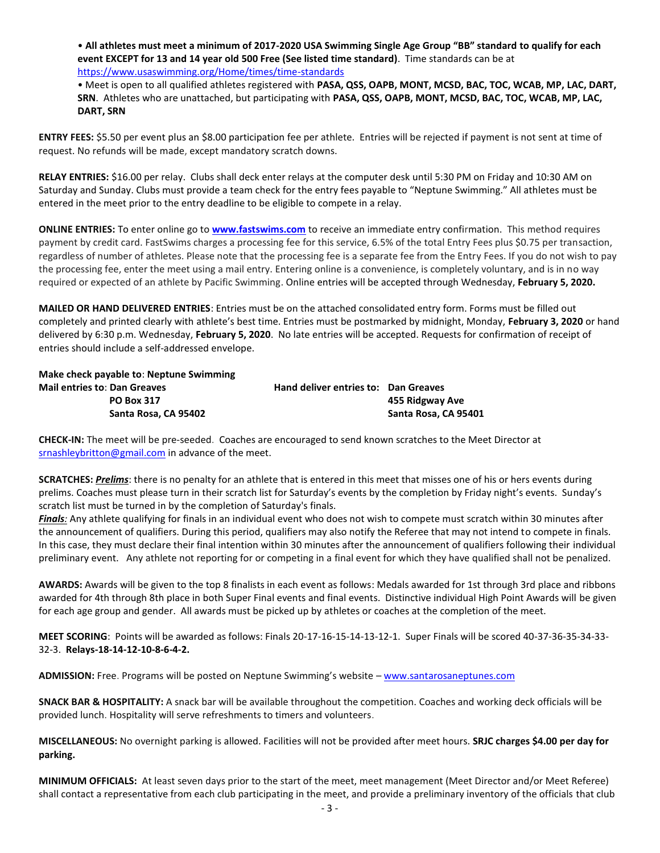• **All athletes must meet a minimum of 2017-2020 USA Swimming Single Age Group "BB" standard to qualify for each event EXCEPT for 13 and 14 year old 500 Free (See listed time standard)**. Time standards can be a[t](https://www.usaswimming.org/Home/times/time-standards) <https://www.usaswimming.org/Home/times/time-standards>

• Meet is open to all qualified athletes registered with **PASA, QSS, OAPB, MONT, MCSD, BAC, TOC, WCAB, MP, LAC, DART, SRN**. Athletes who are unattached, but participating with **PASA, QSS, OAPB, MONT, MCSD, BAC, TOC, WCAB, MP, LAC, DART, SRN**

**ENTRY FEES:** \$5.50 per event plus an \$8.00 participation fee per athlete. Entries will be rejected if payment is not sent at time of request. No refunds will be made, except mandatory scratch downs.

**RELAY ENTRIES:** \$16.00 per relay. Clubs shall deck enter relays at the computer desk until 5:30 PM on Friday and 10:30 AM on Saturday and Sunday. Clubs must provide a team check for the entry fees payable to "Neptune Swimming." All athletes must be entered in the meet prior to the entry deadline to be eligible to compete in a relay.

**ONLINE ENTRIES:** To enter online go to **[www.fastswims.com](http://www.fastswims.com/)** to receive an immediate entry confirmation. This method requires payment by credit card. FastSwims charges a processing fee for this service, 6.5% of the total Entry Fees plus \$0.75 per transaction, regardless of number of athletes. Please note that the processing fee is a separate fee from the Entry Fees. If you do not wish to pay the processing fee, enter the meet using a mail entry. Entering online is a convenience, is completely voluntary, and is in no way required or expected of an athlete by Pacific Swimming. Online entries will be accepted through Wednesday, **February 5, 2020.**

**MAILED OR HAND DELIVERED ENTRIES**: Entries must be on the attached consolidated entry form. Forms must be filled out completely and printed clearly with athlete's best time. Entries must be postmarked by midnight, Monday, **February 3, 2020** or hand delivered by 6:30 p.m. Wednesday, **February 5, 2020**. No late entries will be accepted. Requests for confirmation of receipt of entries should include a self-addressed envelope.

| Make check payable to: Neptune Swimming |                                      |                      |
|-----------------------------------------|--------------------------------------|----------------------|
| <b>Mail entries to: Dan Greaves</b>     | Hand deliver entries to: Dan Greaves |                      |
| <b>PO Box 317</b>                       |                                      | 455 Ridgway Ave      |
| Santa Rosa, CA 95402                    |                                      | Santa Rosa, CA 95401 |

**CHECK-IN:** The meet will be pre-seeded. Coaches are encouraged to send known scratches to the Meet Director at [srnashleybritton@gmail.com](mailto:srnashleybritton@gmail.com) in advance of the meet.

**SCRATCHES:** *Prelims*: there is no penalty for an athlete that is entered in this meet that misses one of his or hers events during prelims. Coaches must please turn in their scratch list for Saturday's events by the completion by Friday night's events. Sunday's scratch list must be turned in by the completion of Saturday's finals.

*Finals:* Any athlete qualifying for finals in an individual event who does not wish to compete must scratch within 30 minutes after the announcement of qualifiers. During this period, qualifiers may also notify the Referee that may not intend to compete in finals. In this case, they must declare their final intention within 30 minutes after the announcement of qualifiers following their individual preliminary event. Any athlete not reporting for or competing in a final event for which they have qualified shall not be penalized.

**AWARDS:** Awards will be given to the top 8 finalists in each event as follows: Medals awarded for 1st through 3rd place and ribbons awarded for 4th through 8th place in both Super Final events and final events. Distinctive individual High Point Awards will be given for each age group and gender. All awards must be picked up by athletes or coaches at the completion of the meet.

**MEET SCORING**: Points will be awarded as follows: Finals 20-17-16-15-14-13-12-1. Super Finals will be scored 40-37-36-35-34-33- 32-3. **Relays-18-14-12-10-8-6-4-2.**

**ADMISSION:** Free. Programs will be posted on Neptune Swimming's website – [www.santarosaneptunes.com](http://www.santarosaneptunes.com/)

**SNACK BAR & HOSPITALITY:** A snack bar will be available throughout the competition. Coaches and working deck officials will be provided lunch. Hospitality will serve refreshments to timers and volunteers.

**MISCELLANEOUS:** No overnight parking is allowed. Facilities will not be provided after meet hours. **SRJC charges \$4.00 per day for parking.**

**MINIMUM OFFICIALS:** At least seven days prior to the start of the meet, meet management (Meet Director and/or Meet Referee) shall contact a representative from each club participating in the meet, and provide a preliminary inventory of the officials that club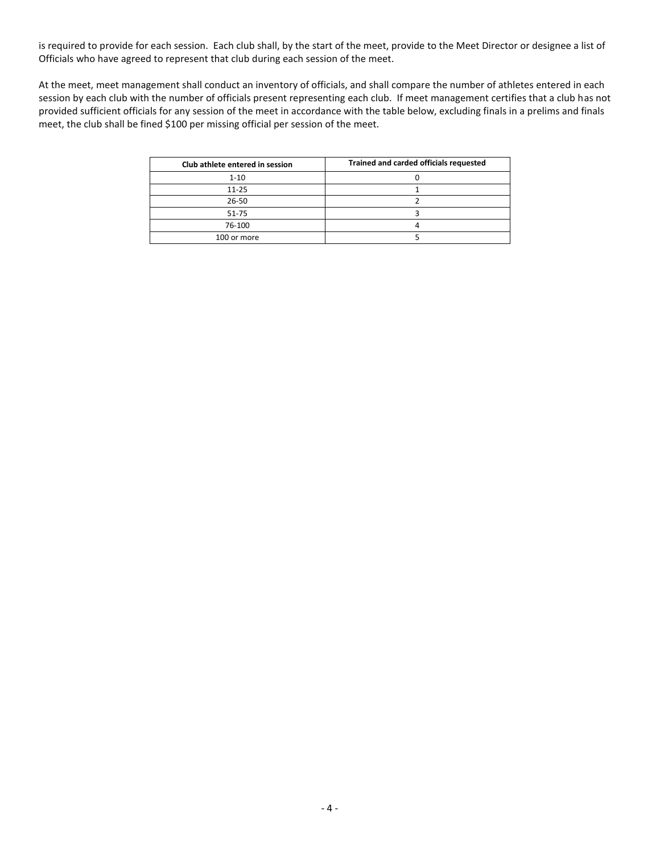is required to provide for each session. Each club shall, by the start of the meet, provide to the Meet Director or designee a list of Officials who have agreed to represent that club during each session of the meet.

At the meet, meet management shall conduct an inventory of officials, and shall compare the number of athletes entered in each session by each club with the number of officials present representing each club. If meet management certifies that a club has not provided sufficient officials for any session of the meet in accordance with the table below, excluding finals in a prelims and finals meet, the club shall be fined \$100 per missing official per session of the meet.

| Club athlete entered in session | Trained and carded officials requested |
|---------------------------------|----------------------------------------|
| $1 - 10$                        |                                        |
| $11 - 25$                       |                                        |
| $26 - 50$                       |                                        |
| 51-75                           |                                        |
| 76-100                          |                                        |
| 100 or more                     |                                        |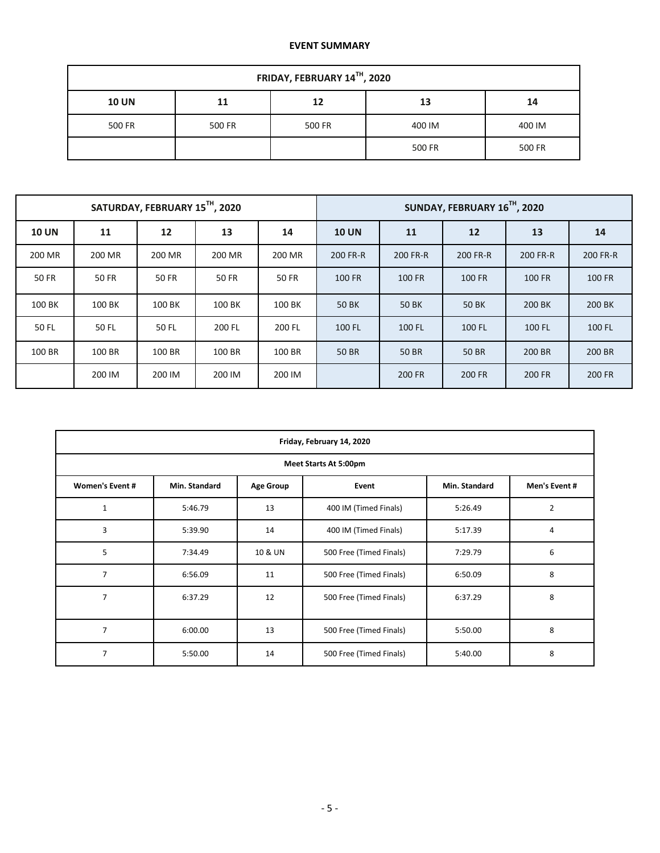## **EVENT SUMMARY**

| FRIDAY, FEBRUARY 14TH, 2020 |        |        |        |        |  |  |  |  |  |
|-----------------------------|--------|--------|--------|--------|--|--|--|--|--|
| <b>10 UN</b>                | 11     | 12     | 13     | 14     |  |  |  |  |  |
| 500 FR                      | 500 FR | 500 FR | 400 IM | 400 IM |  |  |  |  |  |
|                             |        |        | 500 FR | 500 FR |  |  |  |  |  |

|              |              | SATURDAY, FEBRUARY 15TH, 2020 |        |        |              |               | SUNDAY, FEBRUARY 16TH, 2020 |          |          |
|--------------|--------------|-------------------------------|--------|--------|--------------|---------------|-----------------------------|----------|----------|
| <b>10 UN</b> | 11           | 12                            | 13     | 14     | <b>10 UN</b> | 11            | 12                          | 13       | 14       |
| 200 MR       | 200 MR       | 200 MR                        | 200 MR | 200 MR | 200 FR-R     | 200 FR-R      | 200 FR-R                    | 200 FR-R | 200 FR-R |
| 50 FR        | <b>50 FR</b> | 50 FR                         | 50 FR  | 50 FR  | 100 FR       | <b>100 FR</b> | 100 FR                      | 100 FR   | 100 FR   |
| 100 BK       | 100 BK       | 100 BK                        | 100 BK | 100 BK | <b>50 BK</b> | <b>50 BK</b>  | 50 BK                       | 200 BK   | 200 BK   |
| 50 FL        | 50 FL        | 50 FL                         | 200 FL | 200 FL | 100 FL       | 100 FL        | 100 FL                      | 100 FL   | 100 FL   |
| 100 BR       | 100 BR       | 100 BR                        | 100 BR | 100 BR | <b>50 BR</b> | <b>50 BR</b>  | <b>50 BR</b>                | 200 BR   | 200 BR   |
|              | 200 IM       | 200 IM                        | 200 IM | 200 IM |              | 200 FR        | <b>200 FR</b>               | 200 FR   | 200 FR   |

| Friday, February 14, 2020 |               |                  |                         |               |                |  |  |  |  |  |  |
|---------------------------|---------------|------------------|-------------------------|---------------|----------------|--|--|--|--|--|--|
| Meet Starts At 5:00pm     |               |                  |                         |               |                |  |  |  |  |  |  |
| <b>Women's Event #</b>    | Min. Standard | <b>Age Group</b> | Min. Standard           | Men's Event # |                |  |  |  |  |  |  |
| $\mathbf{1}$              | 5:46.79       | 13               | 400 IM (Timed Finals)   | 5:26.49       | $\overline{2}$ |  |  |  |  |  |  |
| 3                         | 5:39.90       | 14               | 400 IM (Timed Finals)   | 5:17.39       | 4              |  |  |  |  |  |  |
| 5                         | 7:34.49       | 10 & UN          | 500 Free (Timed Finals) | 7:29.79       | 6              |  |  |  |  |  |  |
| $\overline{7}$            | 6:56.09       | 11               | 500 Free (Timed Finals) | 6:50.09       | 8              |  |  |  |  |  |  |
| $\overline{7}$            | 6:37.29       | 12               | 500 Free (Timed Finals) | 6:37.29       | 8              |  |  |  |  |  |  |
| $\overline{7}$            | 6:00.00       | 13               | 500 Free (Timed Finals) | 5:50.00       | 8              |  |  |  |  |  |  |
| $\overline{7}$            | 5:50.00       | 14               | 500 Free (Timed Finals) | 5:40.00       | 8              |  |  |  |  |  |  |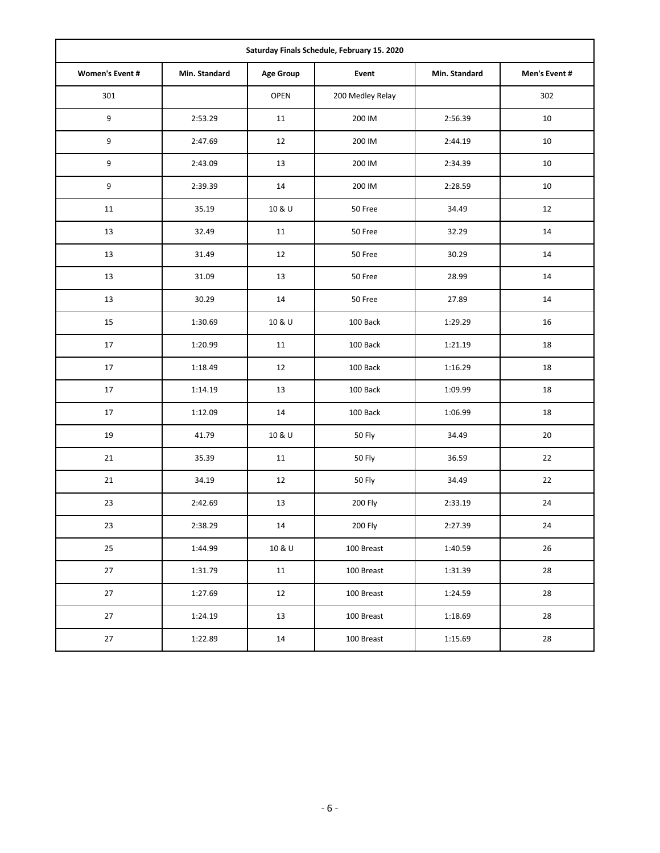| Saturday Finals Schedule, February 15. 2020 |               |                  |                  |               |               |  |  |  |  |  |
|---------------------------------------------|---------------|------------------|------------------|---------------|---------------|--|--|--|--|--|
| <b>Women's Event #</b>                      | Min. Standard | <b>Age Group</b> | Event            | Min. Standard | Men's Event # |  |  |  |  |  |
| 301                                         |               | <b>OPEN</b>      | 200 Medley Relay |               | 302           |  |  |  |  |  |
| $\boldsymbol{9}$                            | 2:53.29       | 11               | 200 IM           | 2:56.39       | 10            |  |  |  |  |  |
| 9                                           | 2:47.69       | 12               | 200 IM           | 2:44.19       | 10            |  |  |  |  |  |
| $\boldsymbol{9}$                            | 2:43.09       | 13               | 200 IM           | 2:34.39       | 10            |  |  |  |  |  |
| $\boldsymbol{9}$                            | 2:39.39       | 14               | 200 IM           | 2:28.59       | 10            |  |  |  |  |  |
| 11                                          | 35.19         | 10 & U           | 50 Free          | 34.49         | 12            |  |  |  |  |  |
| 13                                          | 32.49         | 11               | 50 Free          | 32.29         | 14            |  |  |  |  |  |
| 13                                          | 31.49         | 12               | 50 Free          | 30.29         | 14            |  |  |  |  |  |
| 13                                          | 31.09         | 13               | 50 Free          | 28.99         | 14            |  |  |  |  |  |
| 13                                          | 30.29         | 14               | 50 Free          | 27.89         | 14            |  |  |  |  |  |
| 15                                          | 1:30.69       | 10 & U           | 100 Back         | 1:29.29       | 16            |  |  |  |  |  |
| 17                                          | 1:20.99       | 11               | 100 Back         | 1:21.19       | 18            |  |  |  |  |  |
| $17\,$                                      | 1:18.49       | 12               | 100 Back         | 1:16.29       | 18            |  |  |  |  |  |
| 17                                          | 1:14.19       | 13               | 100 Back         | 1:09.99       | 18            |  |  |  |  |  |
| 17                                          | 1:12.09       | 14               | 100 Back         | 1:06.99       | 18            |  |  |  |  |  |
| 19                                          | 41.79         | 10 & U           | 50 Fly           | 34.49         | 20            |  |  |  |  |  |
| 21                                          | 35.39         | 11               | 50 Fly           | 36.59         | 22            |  |  |  |  |  |
| 21                                          | 34.19         | 12               | 50 Fly           | 34.49         | 22            |  |  |  |  |  |
| 23                                          | 2:42.69       | 13               | 200 Fly          | 2:33.19       | 24            |  |  |  |  |  |
| 23                                          | 2:38.29       | 14               | 200 Fly          | 2:27.39       | 24            |  |  |  |  |  |
| 25                                          | 1:44.99       | 10 & U           | 100 Breast       | 1:40.59       | 26            |  |  |  |  |  |
| 27                                          | 1:31.79       | 11               | 100 Breast       | 1:31.39       | 28            |  |  |  |  |  |
| 27                                          | 1:27.69       | 12               | 100 Breast       | 1:24.59       | 28            |  |  |  |  |  |
| 27                                          | 1:24.19       | 13               | 100 Breast       | 1:18.69       | 28            |  |  |  |  |  |
| 27                                          | 1:22.89       | 14               | 100 Breast       | 1:15.69       | 28            |  |  |  |  |  |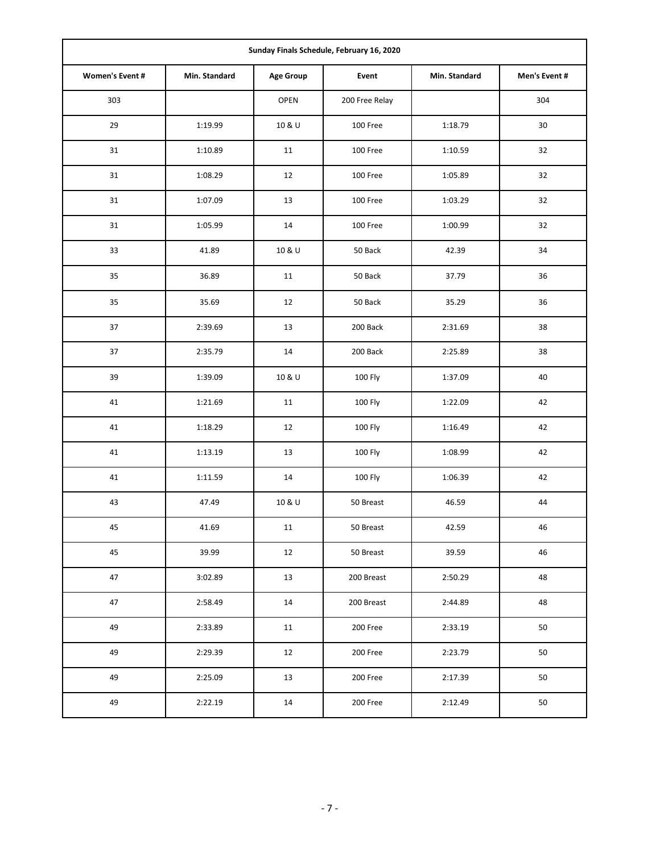| Sunday Finals Schedule, February 16, 2020 |               |                  |                |               |               |  |  |  |  |  |
|-------------------------------------------|---------------|------------------|----------------|---------------|---------------|--|--|--|--|--|
| <b>Women's Event #</b>                    | Min. Standard | <b>Age Group</b> | Event          | Min. Standard | Men's Event # |  |  |  |  |  |
| 303                                       |               | OPEN             | 200 Free Relay |               | 304           |  |  |  |  |  |
| 29                                        | 1:19.99       | 10 & U           | 100 Free       | 1:18.79       | 30            |  |  |  |  |  |
| 31                                        | 1:10.89       | 11               | 100 Free       | 1:10.59       | 32            |  |  |  |  |  |
| 31                                        | 1:08.29       | 12               | 100 Free       | 1:05.89       | 32            |  |  |  |  |  |
| 31                                        | 1:07.09       | 13               | 100 Free       | 1:03.29       | 32            |  |  |  |  |  |
| 31                                        | 1:05.99       | 14               | 100 Free       | 1:00.99       | 32            |  |  |  |  |  |
| 33                                        | 41.89         | 10 & U           | 50 Back        | 42.39         | 34            |  |  |  |  |  |
| 35                                        | 36.89         | 11               | 50 Back        | 37.79         | 36            |  |  |  |  |  |
| 35                                        | 35.69         | 12               | 50 Back        | 35.29         | 36            |  |  |  |  |  |
| 37                                        | 2:39.69       | 13               | 200 Back       | 2:31.69       | 38            |  |  |  |  |  |
| 37                                        | 2:35.79       | 14<br>200 Back   |                | 2:25.89       | 38            |  |  |  |  |  |
| 39                                        | 1:39.09       | 10 & U           | 100 Fly        | 1:37.09       | 40            |  |  |  |  |  |
| 41                                        | 1:21.69       | 11               | 100 Fly        | 1:22.09       | 42            |  |  |  |  |  |
| 41                                        | 1:18.29       | 12               | 100 Fly        | 1:16.49       | 42            |  |  |  |  |  |
| 41                                        | 1:13.19       | 13               | 100 Fly        | 1:08.99       | 42            |  |  |  |  |  |
| 41                                        | 1:11.59       | 14               | 100 Fly        | 1:06.39       | 42            |  |  |  |  |  |
| 43                                        | 47.49         | 10 & U           | 50 Breast      | 46.59         | 44            |  |  |  |  |  |
| 45                                        | 41.69         | 11               | 50 Breast      | 42.59         | 46            |  |  |  |  |  |
| 45                                        | 39.99         | 12               | 50 Breast      | 39.59         | 46            |  |  |  |  |  |
| 47                                        | 3:02.89       | 13               | 200 Breast     | 2:50.29       | 48            |  |  |  |  |  |
| 47                                        | 2:58.49       | 14               | 200 Breast     | 2:44.89       | 48            |  |  |  |  |  |
| 49                                        | 2:33.89       | 11               | 200 Free       | 2:33.19       | 50            |  |  |  |  |  |
| 49                                        | 2:29.39       | 12               | 200 Free       | 2:23.79       | 50            |  |  |  |  |  |
| 49                                        | 2:25.09       | 13               | 200 Free       | 2:17.39       | 50            |  |  |  |  |  |
| 49                                        | 2:22.19       | 14               | 200 Free       | 2:12.49       | 50            |  |  |  |  |  |